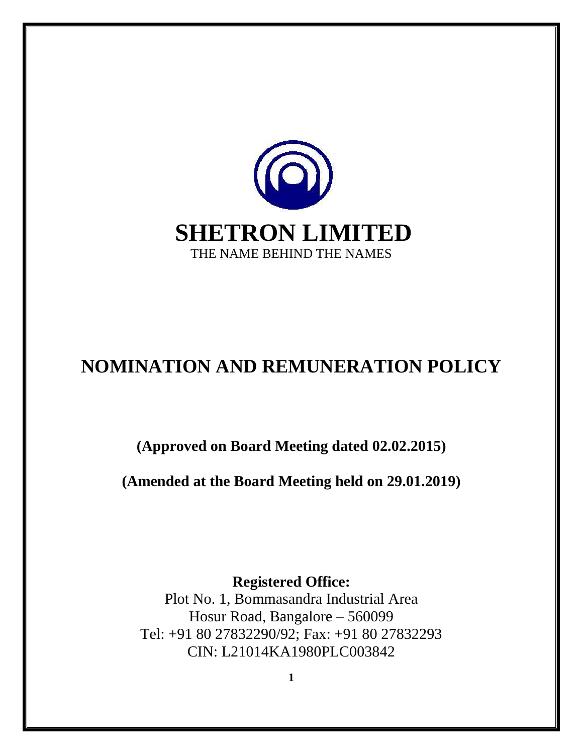

# **NOMINATION AND REMUNERATION POLICY**

**(Approved on Board Meeting dated 02.02.2015)**

**(Amended at the Board Meeting held on 29.01.2019)**

**Registered Office:**  Plot No. 1, Bommasandra Industrial Area Hosur Road, Bangalore – 560099 Tel: +91 80 27832290/92; Fax: +91 80 27832293 CIN: L21014KA1980PLC003842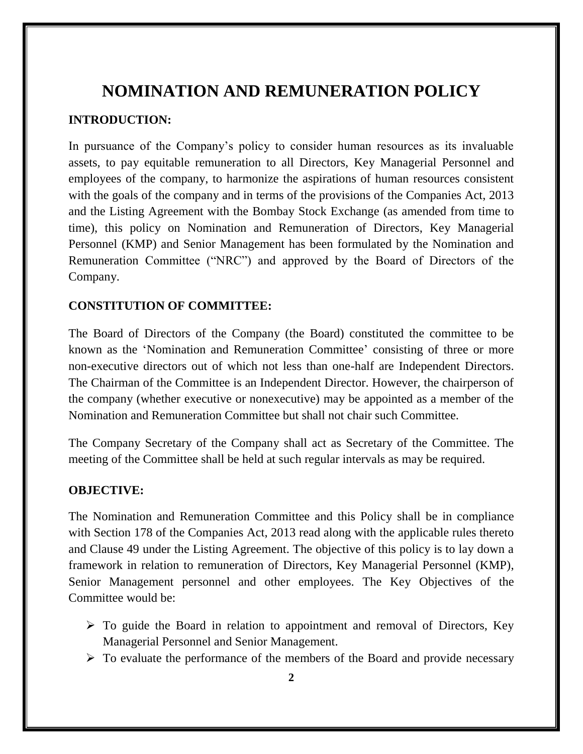## **NOMINATION AND REMUNERATION POLICY**

#### **INTRODUCTION:**

In pursuance of the Company's policy to consider human resources as its invaluable assets, to pay equitable remuneration to all Directors, Key Managerial Personnel and employees of the company, to harmonize the aspirations of human resources consistent with the goals of the company and in terms of the provisions of the Companies Act, 2013 and the Listing Agreement with the Bombay Stock Exchange (as amended from time to time), this policy on Nomination and Remuneration of Directors, Key Managerial Personnel (KMP) and Senior Management has been formulated by the Nomination and Remuneration Committee ("NRC") and approved by the Board of Directors of the Company.

#### **CONSTITUTION OF COMMITTEE:**

The Board of Directors of the Company (the Board) constituted the committee to be known as the 'Nomination and Remuneration Committee' consisting of three or more non-executive directors out of which not less than one-half are Independent Directors. The Chairman of the Committee is an Independent Director. However, the chairperson of the company (whether executive or nonexecutive) may be appointed as a member of the Nomination and Remuneration Committee but shall not chair such Committee.

The Company Secretary of the Company shall act as Secretary of the Committee. The meeting of the Committee shall be held at such regular intervals as may be required.

#### **OBJECTIVE:**

The Nomination and Remuneration Committee and this Policy shall be in compliance with Section 178 of the Companies Act, 2013 read along with the applicable rules thereto and Clause 49 under the Listing Agreement. The objective of this policy is to lay down a framework in relation to remuneration of Directors, Key Managerial Personnel (KMP), Senior Management personnel and other employees. The Key Objectives of the Committee would be:

- $\triangleright$  To guide the Board in relation to appointment and removal of Directors, Key Managerial Personnel and Senior Management.
- $\triangleright$  To evaluate the performance of the members of the Board and provide necessary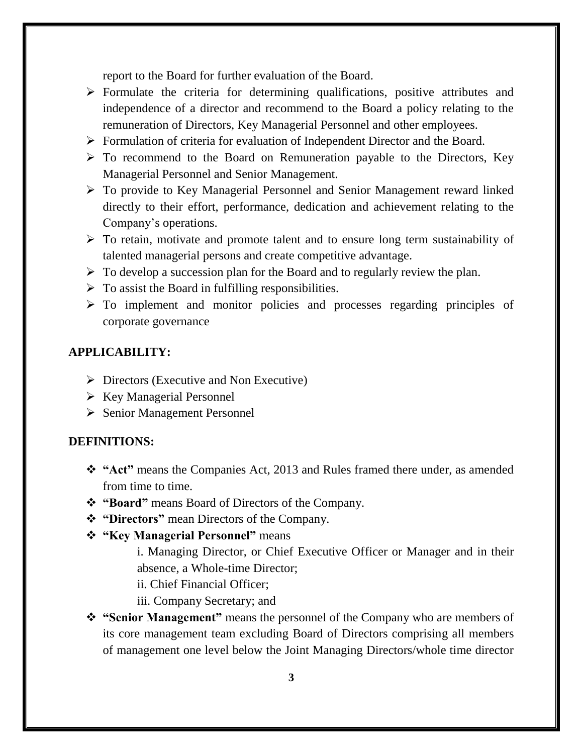report to the Board for further evaluation of the Board.

- $\triangleright$  Formulate the criteria for determining qualifications, positive attributes and independence of a director and recommend to the Board a policy relating to the remuneration of Directors, Key Managerial Personnel and other employees.
- Formulation of criteria for evaluation of Independent Director and the Board.
- $\triangleright$  To recommend to the Board on Remuneration payable to the Directors, Key Managerial Personnel and Senior Management.
- To provide to Key Managerial Personnel and Senior Management reward linked directly to their effort, performance, dedication and achievement relating to the Company's operations.
- $\triangleright$  To retain, motivate and promote talent and to ensure long term sustainability of talented managerial persons and create competitive advantage.
- $\triangleright$  To develop a succession plan for the Board and to regularly review the plan.
- $\triangleright$  To assist the Board in fulfilling responsibilities.
- $\triangleright$  To implement and monitor policies and processes regarding principles of corporate governance

#### **APPLICABILITY:**

- $\triangleright$  Directors (Executive and Non Executive)
- $\triangleright$  Key Managerial Personnel
- Senior Management Personnel

#### **DEFINITIONS:**

- **"Act"** means the Companies Act, 2013 and Rules framed there under, as amended from time to time.
- **"Board"** means Board of Directors of the Company.
- **"Directors"** mean Directors of the Company.
- **"Key Managerial Personnel"** means

i. Managing Director, or Chief Executive Officer or Manager and in their absence, a Whole-time Director;

ii. Chief Financial Officer;

- iii. Company Secretary; and
- **"Senior Management"** means the personnel of the Company who are members of its core management team excluding Board of Directors comprising all members of management one level below the Joint Managing Directors/whole time director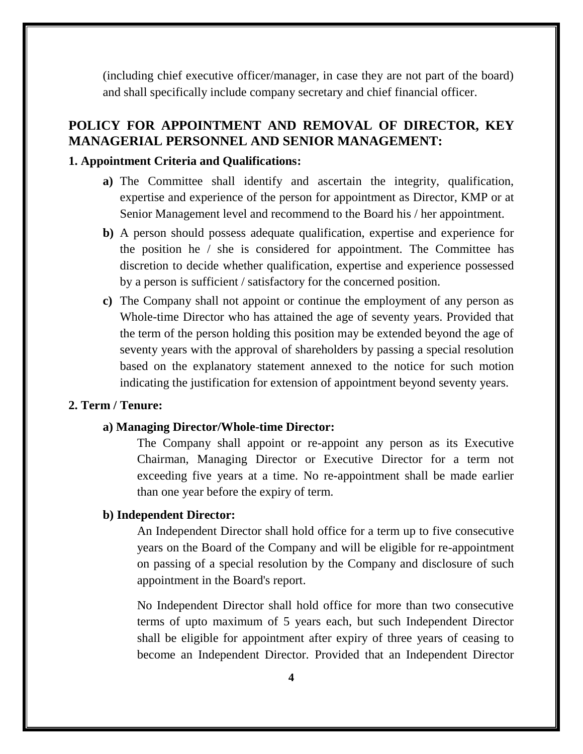(including chief executive officer/manager, in case they are not part of the board) and shall specifically include company secretary and chief financial officer.

## **POLICY FOR APPOINTMENT AND REMOVAL OF DIRECTOR, KEY MANAGERIAL PERSONNEL AND SENIOR MANAGEMENT:**

#### **1. Appointment Criteria and Qualifications:**

- **a)** The Committee shall identify and ascertain the integrity, qualification, expertise and experience of the person for appointment as Director, KMP or at Senior Management level and recommend to the Board his / her appointment.
- **b)** A person should possess adequate qualification, expertise and experience for the position he / she is considered for appointment. The Committee has discretion to decide whether qualification, expertise and experience possessed by a person is sufficient / satisfactory for the concerned position.
- **c)** The Company shall not appoint or continue the employment of any person as Whole-time Director who has attained the age of seventy years. Provided that the term of the person holding this position may be extended beyond the age of seventy years with the approval of shareholders by passing a special resolution based on the explanatory statement annexed to the notice for such motion indicating the justification for extension of appointment beyond seventy years.

#### **2. Term / Tenure:**

#### **a) Managing Director/Whole-time Director:**

The Company shall appoint or re-appoint any person as its Executive Chairman, Managing Director or Executive Director for a term not exceeding five years at a time. No re-appointment shall be made earlier than one year before the expiry of term.

#### **b) Independent Director:**

An Independent Director shall hold office for a term up to five consecutive years on the Board of the Company and will be eligible for re-appointment on passing of a special resolution by the Company and disclosure of such appointment in the Board's report.

No Independent Director shall hold office for more than two consecutive terms of upto maximum of 5 years each, but such Independent Director shall be eligible for appointment after expiry of three years of ceasing to become an Independent Director. Provided that an Independent Director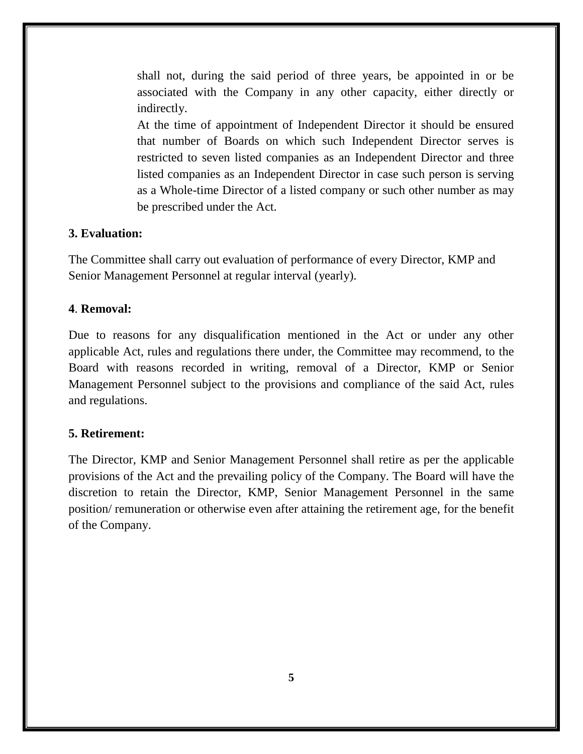shall not, during the said period of three years, be appointed in or be associated with the Company in any other capacity, either directly or indirectly.

At the time of appointment of Independent Director it should be ensured that number of Boards on which such Independent Director serves is restricted to seven listed companies as an Independent Director and three listed companies as an Independent Director in case such person is serving as a Whole-time Director of a listed company or such other number as may be prescribed under the Act.

#### **3. Evaluation:**

The Committee shall carry out evaluation of performance of every Director, KMP and Senior Management Personnel at regular interval (yearly).

#### **4**. **Removal:**

Due to reasons for any disqualification mentioned in the Act or under any other applicable Act, rules and regulations there under, the Committee may recommend, to the Board with reasons recorded in writing, removal of a Director, KMP or Senior Management Personnel subject to the provisions and compliance of the said Act, rules and regulations.

#### **5. Retirement:**

The Director, KMP and Senior Management Personnel shall retire as per the applicable provisions of the Act and the prevailing policy of the Company. The Board will have the discretion to retain the Director, KMP, Senior Management Personnel in the same position/ remuneration or otherwise even after attaining the retirement age, for the benefit of the Company.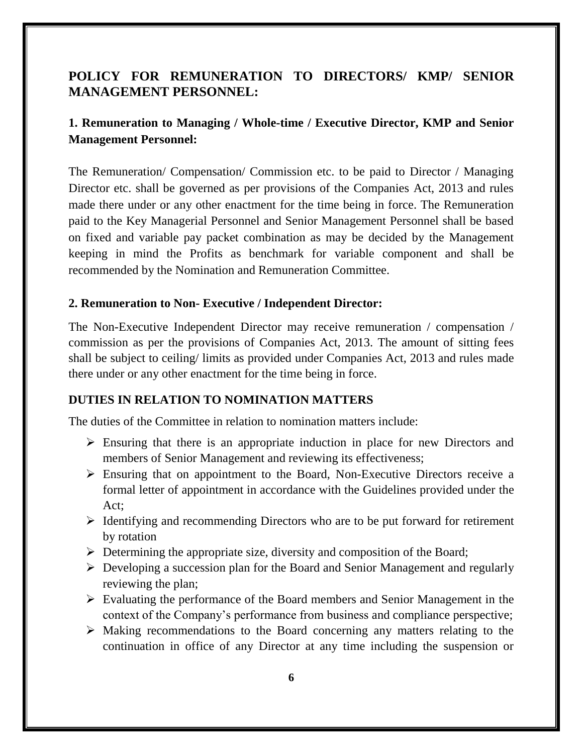## **POLICY FOR REMUNERATION TO DIRECTORS/ KMP/ SENIOR MANAGEMENT PERSONNEL:**

## **1. Remuneration to Managing / Whole-time / Executive Director, KMP and Senior Management Personnel:**

The Remuneration/ Compensation/ Commission etc. to be paid to Director / Managing Director etc. shall be governed as per provisions of the Companies Act, 2013 and rules made there under or any other enactment for the time being in force. The Remuneration paid to the Key Managerial Personnel and Senior Management Personnel shall be based on fixed and variable pay packet combination as may be decided by the Management keeping in mind the Profits as benchmark for variable component and shall be recommended by the Nomination and Remuneration Committee.

#### **2. Remuneration to Non- Executive / Independent Director:**

The Non-Executive Independent Director may receive remuneration / compensation / commission as per the provisions of Companies Act, 2013. The amount of sitting fees shall be subject to ceiling/ limits as provided under Companies Act, 2013 and rules made there under or any other enactment for the time being in force.

#### **DUTIES IN RELATION TO NOMINATION MATTERS**

The duties of the Committee in relation to nomination matters include:

- Ensuring that there is an appropriate induction in place for new Directors and members of Senior Management and reviewing its effectiveness;
- $\triangleright$  Ensuring that on appointment to the Board, Non-Executive Directors receive a formal letter of appointment in accordance with the Guidelines provided under the Act;
- $\triangleright$  Identifying and recommending Directors who are to be put forward for retirement by rotation
- $\triangleright$  Determining the appropriate size, diversity and composition of the Board;
- Developing a succession plan for the Board and Senior Management and regularly reviewing the plan;
- Evaluating the performance of the Board members and Senior Management in the context of the Company's performance from business and compliance perspective;
- Making recommendations to the Board concerning any matters relating to the continuation in office of any Director at any time including the suspension or